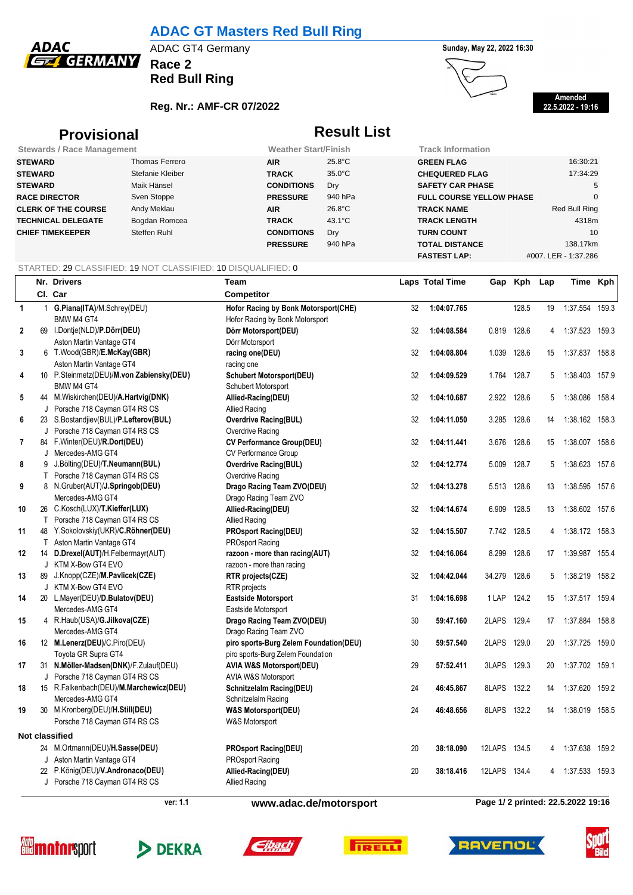

## **ADAC GT Masters Red Bull Ring**

**Race 2**

**Red Bull Ring**

### **Reg. Nr.: AMF-CR 07/2022**





**Amended 22.5.2022 - 19:16**

## **Provisional Result List**

| <b>Stewards / Race Management</b> |                  | <b>Weather Start/Finish</b> |                  | <b>Track Information</b>        |                      |
|-----------------------------------|------------------|-----------------------------|------------------|---------------------------------|----------------------|
| <b>STEWARD</b>                    | Thomas Ferrero   | <b>AIR</b>                  | $25.8^{\circ}$ C | <b>GREEN FLAG</b>               | 16:30:21             |
| <b>STEWARD</b>                    | Stefanie Kleiber | <b>TRACK</b>                | $35.0^{\circ}$ C | <b>CHEQUERED FLAG</b>           | 17:34:29             |
| <b>STEWARD</b>                    | Maik Hänsel      | <b>CONDITIONS</b>           | Dry              | <b>SAFETY CAR PHASE</b>         | 5                    |
| <b>RACE DIRECTOR</b>              | Sven Stoppe      | <b>PRESSURE</b>             | 940 hPa          | <b>FULL COURSE YELLOW PHASE</b> |                      |
| <b>CLERK OF THE COURSE</b>        | Andy Meklau      | <b>AIR</b>                  | $26.8^{\circ}$ C | <b>TRACK NAME</b>               | Red Bull Ring        |
| <b>TECHNICAL DELEGATE</b>         | Bogdan Romcea    | <b>TRACK</b>                | $43.1^{\circ}$ C | <b>TRACK LENGTH</b>             | 4318m                |
| <b>CHIEF TIMEKEEPER</b>           | Steffen Ruhl     | <b>CONDITIONS</b>           | Dry              | <b>TURN COUNT</b>               | 10                   |
|                                   |                  | <b>PRESSURE</b>             | 940 hPa          | <b>TOTAL DISTANCE</b>           | 138.17km             |
|                                   |                  |                             |                  | <b>FASTEST LAP:</b>             | #007. LER - 1:37.286 |

#### STARTED: 29 CLASSIFIED: 19 NOT CLASSIFIED: 10 DISQUALIFIED: 0

| CI. Car<br><b>Competitor</b><br>G.Piana(ITA)/M.Schrey(DEU)<br>128.5<br>1:37.554<br>159.3<br>$\mathbf{1}$<br>Hofor Racing by Bonk Motorsport(CHE)<br>32<br>1:04:07.765<br>19<br>1<br>BMW M4 GT4<br>Hofor Racing by Bonk Motorsport<br>69 I.Dontje(NLD)/P.Dörr(DEU)<br>0.819 128.6<br>1:37.523 159.3<br>2<br>32<br>1:04:08.584<br>Dörr Motorsport(DEU)<br>4<br>Aston Martin Vantage GT4<br>Dörr Motorsport<br>3<br>6 T.Wood(GBR)/E.McKay(GBR)<br>1.039 128.6<br>1:37.837 158.8<br>racing one(DEU)<br>32<br>1:04:08.804<br>15<br>Aston Martin Vantage GT4<br>racing one<br>10 P.Steinmetz(DEU)/M.von Zabiensky(DEU)<br>1:04:09.529<br>128.7<br>1:38.403 157.9<br>4<br><b>Schubert Motorsport(DEU)</b><br>32<br>1.764<br>5<br>BMW M4 GT4<br>Schubert Motorsport<br>44 M.Wiskirchen(DEU)/A.Hartvig(DNK)<br>2.922 128.6<br>1:38.086<br>158.4<br>5<br>Allied-Racing(DEU)<br>32<br>1:04:10.687<br>5<br>J Porsche 718 Cayman GT4 RS CS<br><b>Allied Racing</b><br>23 S.Bostandjiev(BUL)/P.Lefterov(BUL)<br><b>Overdrive Racing(BUL)</b><br>1:04:11.050<br>3.285 128.6<br>1:38.162 158.3<br>6<br>32<br>14<br>J Porsche 718 Cayman GT4 RS CS<br>Overdrive Racing<br>84 F.Winter(DEU)/R.Dort(DEU)<br>7<br><b>CV Performance Group(DEU)</b><br>32<br>1:04:11.441<br>3.676 128.6<br>1:38.007 158.6<br>15<br>J Mercedes-AMG GT4<br>CV Performance Group<br>9 J.Bölting(DEU)/T.Neumann(BUL)<br>8<br><b>Overdrive Racing(BUL)</b><br>32<br>1:04:12.774<br>5.009 128.7<br>1:38.623 157.6<br>5<br>T Porsche 718 Cayman GT4 RS CS<br>Overdrive Racing<br>9<br>8 N.Gruber(AUT)/J.Springob(DEU)<br>Drago Racing Team ZVO(DEU)<br>32<br>1:04:13.278<br>5.513 128.6<br>1:38.595 157.6<br>13<br>Mercedes-AMG GT4<br>Drago Racing Team ZVO<br>26 C.Kosch(LUX)/T.Kieffer(LUX)<br>1:38.602 157.6<br>10<br>Allied-Racing(DEU)<br>32<br>1:04:14.674<br>6.909<br>128.5<br>13<br>T Porsche 718 Cayman GT4 RS CS<br><b>Allied Racing</b><br>48 Y.Sokolovskiy(UKR)/C.Röhner(DEU)<br><b>PROsport Racing(DEU)</b><br>1:38.172 158.3<br>11<br>32<br>1:04:15.507<br>7.742 128.5<br>4<br>Aston Martin Vantage GT4<br>PROsport Racing<br>T.<br>14 D.Drexel(AUT)/H.Felbermayr(AUT)<br>razoon - more than racing(AUT)<br>8.299 128.6<br>1:39.987 155.4<br>12<br>32<br>1:04:16.064<br>17<br>J KTM X-Bow GT4 EVO<br>razoon - more than racing<br>89 J.Knopp(CZE)/M.Pavlicek(CZE)<br>13<br>32<br>1:04:42.044<br>34.279<br>128.6<br>1:38.219 158.2<br>RTR projects(CZE)<br>5<br>J KTM X-Bow GT4 EVO<br><b>RTR</b> projects<br>20 L.Mayer(DEU)/D.Bulatov(DEU)<br>1:37.517 159.4<br>14<br><b>Eastside Motorsport</b><br>1:04:16.698<br>1 LAP<br>124.2<br>31<br>15<br>Mercedes-AMG GT4<br>Eastside Motorsport<br>2LAPS 129.4<br>1:37.884 158.8<br>4 R.Haub(USA)/G.Jilkova(CZE)<br>Drago Racing Team ZVO(DEU)<br>30<br>59:47.160<br>17<br>15<br>Mercedes-AMG GT4<br>Drago Racing Team ZVO<br>30<br>2LAPS 129.0<br>1:37.725 159.0<br>16<br>12 M.Lenerz(DEU)/C.Piro(DEU)<br>piro sports-Burg Zelem Foundation(DEU)<br>59:57.540<br>20<br>Toyota GR Supra GT4<br>piro sports-Burg Zelem Foundation<br>31 N.Möller-Madsen(DNK)/F.Zulauf(DEU)<br><b>AVIA W&amp;S Motorsport(DEU)</b><br>29<br>3LAPS 129.3<br>1:37.702 159.1<br>17<br>57:52.411<br>20<br>J Porsche 718 Cayman GT4 RS CS<br>AVIA W&S Motorsport<br>15 R.Falkenbach(DEU)/M.Marchewicz(DEU)<br><b>Schnitzelalm Racing(DEU)</b><br>46:45.867<br>8LAPS<br>132.2<br>1:37.620<br>159.2<br>18<br>24<br>14<br>Mercedes-AMG GT4<br>Schnitzelalm Racing<br>30 M.Kronberg(DEU)/H.Still(DEU)<br>1:38.019 158.5<br>19<br>24<br>46:48.656<br>8LAPS 132.2<br><b>W&amp;S Motorsport(DEU)</b><br>14<br>Porsche 718 Cayman GT4 RS CS<br>W&S Motorsport<br><b>Not classified</b><br>24 M.Ortmann(DEU)/H.Sasse(DEU)<br>12LAPS 134.5<br>1:37.638 159.2<br><b>PROsport Racing(DEU)</b><br>20<br>38:18.090<br>4<br>J Aston Martin Vantage GT4<br><b>PROsport Racing</b><br>22 P.König(DEU)/V.Andronaco(DEU)<br>Allied-Racing(DEU)<br>12LAPS<br>1:37.533<br>20<br>38:18.416<br>134.4<br>159.3<br>4<br>J Porsche 718 Cayman GT4 RS CS<br><b>Allied Racing</b> |  | Nr. Drivers | Team |  | <b>Laps Total Time</b> | Gap | Kph | Lap | Time Kph |  |
|---------------------------------------------------------------------------------------------------------------------------------------------------------------------------------------------------------------------------------------------------------------------------------------------------------------------------------------------------------------------------------------------------------------------------------------------------------------------------------------------------------------------------------------------------------------------------------------------------------------------------------------------------------------------------------------------------------------------------------------------------------------------------------------------------------------------------------------------------------------------------------------------------------------------------------------------------------------------------------------------------------------------------------------------------------------------------------------------------------------------------------------------------------------------------------------------------------------------------------------------------------------------------------------------------------------------------------------------------------------------------------------------------------------------------------------------------------------------------------------------------------------------------------------------------------------------------------------------------------------------------------------------------------------------------------------------------------------------------------------------------------------------------------------------------------------------------------------------------------------------------------------------------------------------------------------------------------------------------------------------------------------------------------------------------------------------------------------------------------------------------------------------------------------------------------------------------------------------------------------------------------------------------------------------------------------------------------------------------------------------------------------------------------------------------------------------------------------------------------------------------------------------------------------------------------------------------------------------------------------------------------------------------------------------------------------------------------------------------------------------------------------------------------------------------------------------------------------------------------------------------------------------------------------------------------------------------------------------------------------------------------------------------------------------------------------------------------------------------------------------------------------------------------------------------------------------------------------------------------------------------------------------------------------------------------------------------------------------------------------------------------------------------------------------------------------------------------------------------------------------------------------------------------------------------------------------------------------------------------------------------------------------------------------------------------------------------------------------------------------------------------------------------------------------------------------------------------------------------------------------------------------------------------------------------------------------------------------------------------------------------------------------------------------------|--|-------------|------|--|------------------------|-----|-----|-----|----------|--|
|                                                                                                                                                                                                                                                                                                                                                                                                                                                                                                                                                                                                                                                                                                                                                                                                                                                                                                                                                                                                                                                                                                                                                                                                                                                                                                                                                                                                                                                                                                                                                                                                                                                                                                                                                                                                                                                                                                                                                                                                                                                                                                                                                                                                                                                                                                                                                                                                                                                                                                                                                                                                                                                                                                                                                                                                                                                                                                                                                                                                                                                                                                                                                                                                                                                                                                                                                                                                                                                                                                                                                                                                                                                                                                                                                                                                                                                                                                                                                                                                                                             |  |             |      |  |                        |     |     |     |          |  |
|                                                                                                                                                                                                                                                                                                                                                                                                                                                                                                                                                                                                                                                                                                                                                                                                                                                                                                                                                                                                                                                                                                                                                                                                                                                                                                                                                                                                                                                                                                                                                                                                                                                                                                                                                                                                                                                                                                                                                                                                                                                                                                                                                                                                                                                                                                                                                                                                                                                                                                                                                                                                                                                                                                                                                                                                                                                                                                                                                                                                                                                                                                                                                                                                                                                                                                                                                                                                                                                                                                                                                                                                                                                                                                                                                                                                                                                                                                                                                                                                                                             |  |             |      |  |                        |     |     |     |          |  |
|                                                                                                                                                                                                                                                                                                                                                                                                                                                                                                                                                                                                                                                                                                                                                                                                                                                                                                                                                                                                                                                                                                                                                                                                                                                                                                                                                                                                                                                                                                                                                                                                                                                                                                                                                                                                                                                                                                                                                                                                                                                                                                                                                                                                                                                                                                                                                                                                                                                                                                                                                                                                                                                                                                                                                                                                                                                                                                                                                                                                                                                                                                                                                                                                                                                                                                                                                                                                                                                                                                                                                                                                                                                                                                                                                                                                                                                                                                                                                                                                                                             |  |             |      |  |                        |     |     |     |          |  |
|                                                                                                                                                                                                                                                                                                                                                                                                                                                                                                                                                                                                                                                                                                                                                                                                                                                                                                                                                                                                                                                                                                                                                                                                                                                                                                                                                                                                                                                                                                                                                                                                                                                                                                                                                                                                                                                                                                                                                                                                                                                                                                                                                                                                                                                                                                                                                                                                                                                                                                                                                                                                                                                                                                                                                                                                                                                                                                                                                                                                                                                                                                                                                                                                                                                                                                                                                                                                                                                                                                                                                                                                                                                                                                                                                                                                                                                                                                                                                                                                                                             |  |             |      |  |                        |     |     |     |          |  |
|                                                                                                                                                                                                                                                                                                                                                                                                                                                                                                                                                                                                                                                                                                                                                                                                                                                                                                                                                                                                                                                                                                                                                                                                                                                                                                                                                                                                                                                                                                                                                                                                                                                                                                                                                                                                                                                                                                                                                                                                                                                                                                                                                                                                                                                                                                                                                                                                                                                                                                                                                                                                                                                                                                                                                                                                                                                                                                                                                                                                                                                                                                                                                                                                                                                                                                                                                                                                                                                                                                                                                                                                                                                                                                                                                                                                                                                                                                                                                                                                                                             |  |             |      |  |                        |     |     |     |          |  |
|                                                                                                                                                                                                                                                                                                                                                                                                                                                                                                                                                                                                                                                                                                                                                                                                                                                                                                                                                                                                                                                                                                                                                                                                                                                                                                                                                                                                                                                                                                                                                                                                                                                                                                                                                                                                                                                                                                                                                                                                                                                                                                                                                                                                                                                                                                                                                                                                                                                                                                                                                                                                                                                                                                                                                                                                                                                                                                                                                                                                                                                                                                                                                                                                                                                                                                                                                                                                                                                                                                                                                                                                                                                                                                                                                                                                                                                                                                                                                                                                                                             |  |             |      |  |                        |     |     |     |          |  |
|                                                                                                                                                                                                                                                                                                                                                                                                                                                                                                                                                                                                                                                                                                                                                                                                                                                                                                                                                                                                                                                                                                                                                                                                                                                                                                                                                                                                                                                                                                                                                                                                                                                                                                                                                                                                                                                                                                                                                                                                                                                                                                                                                                                                                                                                                                                                                                                                                                                                                                                                                                                                                                                                                                                                                                                                                                                                                                                                                                                                                                                                                                                                                                                                                                                                                                                                                                                                                                                                                                                                                                                                                                                                                                                                                                                                                                                                                                                                                                                                                                             |  |             |      |  |                        |     |     |     |          |  |
|                                                                                                                                                                                                                                                                                                                                                                                                                                                                                                                                                                                                                                                                                                                                                                                                                                                                                                                                                                                                                                                                                                                                                                                                                                                                                                                                                                                                                                                                                                                                                                                                                                                                                                                                                                                                                                                                                                                                                                                                                                                                                                                                                                                                                                                                                                                                                                                                                                                                                                                                                                                                                                                                                                                                                                                                                                                                                                                                                                                                                                                                                                                                                                                                                                                                                                                                                                                                                                                                                                                                                                                                                                                                                                                                                                                                                                                                                                                                                                                                                                             |  |             |      |  |                        |     |     |     |          |  |
|                                                                                                                                                                                                                                                                                                                                                                                                                                                                                                                                                                                                                                                                                                                                                                                                                                                                                                                                                                                                                                                                                                                                                                                                                                                                                                                                                                                                                                                                                                                                                                                                                                                                                                                                                                                                                                                                                                                                                                                                                                                                                                                                                                                                                                                                                                                                                                                                                                                                                                                                                                                                                                                                                                                                                                                                                                                                                                                                                                                                                                                                                                                                                                                                                                                                                                                                                                                                                                                                                                                                                                                                                                                                                                                                                                                                                                                                                                                                                                                                                                             |  |             |      |  |                        |     |     |     |          |  |
|                                                                                                                                                                                                                                                                                                                                                                                                                                                                                                                                                                                                                                                                                                                                                                                                                                                                                                                                                                                                                                                                                                                                                                                                                                                                                                                                                                                                                                                                                                                                                                                                                                                                                                                                                                                                                                                                                                                                                                                                                                                                                                                                                                                                                                                                                                                                                                                                                                                                                                                                                                                                                                                                                                                                                                                                                                                                                                                                                                                                                                                                                                                                                                                                                                                                                                                                                                                                                                                                                                                                                                                                                                                                                                                                                                                                                                                                                                                                                                                                                                             |  |             |      |  |                        |     |     |     |          |  |
|                                                                                                                                                                                                                                                                                                                                                                                                                                                                                                                                                                                                                                                                                                                                                                                                                                                                                                                                                                                                                                                                                                                                                                                                                                                                                                                                                                                                                                                                                                                                                                                                                                                                                                                                                                                                                                                                                                                                                                                                                                                                                                                                                                                                                                                                                                                                                                                                                                                                                                                                                                                                                                                                                                                                                                                                                                                                                                                                                                                                                                                                                                                                                                                                                                                                                                                                                                                                                                                                                                                                                                                                                                                                                                                                                                                                                                                                                                                                                                                                                                             |  |             |      |  |                        |     |     |     |          |  |
|                                                                                                                                                                                                                                                                                                                                                                                                                                                                                                                                                                                                                                                                                                                                                                                                                                                                                                                                                                                                                                                                                                                                                                                                                                                                                                                                                                                                                                                                                                                                                                                                                                                                                                                                                                                                                                                                                                                                                                                                                                                                                                                                                                                                                                                                                                                                                                                                                                                                                                                                                                                                                                                                                                                                                                                                                                                                                                                                                                                                                                                                                                                                                                                                                                                                                                                                                                                                                                                                                                                                                                                                                                                                                                                                                                                                                                                                                                                                                                                                                                             |  |             |      |  |                        |     |     |     |          |  |
|                                                                                                                                                                                                                                                                                                                                                                                                                                                                                                                                                                                                                                                                                                                                                                                                                                                                                                                                                                                                                                                                                                                                                                                                                                                                                                                                                                                                                                                                                                                                                                                                                                                                                                                                                                                                                                                                                                                                                                                                                                                                                                                                                                                                                                                                                                                                                                                                                                                                                                                                                                                                                                                                                                                                                                                                                                                                                                                                                                                                                                                                                                                                                                                                                                                                                                                                                                                                                                                                                                                                                                                                                                                                                                                                                                                                                                                                                                                                                                                                                                             |  |             |      |  |                        |     |     |     |          |  |
|                                                                                                                                                                                                                                                                                                                                                                                                                                                                                                                                                                                                                                                                                                                                                                                                                                                                                                                                                                                                                                                                                                                                                                                                                                                                                                                                                                                                                                                                                                                                                                                                                                                                                                                                                                                                                                                                                                                                                                                                                                                                                                                                                                                                                                                                                                                                                                                                                                                                                                                                                                                                                                                                                                                                                                                                                                                                                                                                                                                                                                                                                                                                                                                                                                                                                                                                                                                                                                                                                                                                                                                                                                                                                                                                                                                                                                                                                                                                                                                                                                             |  |             |      |  |                        |     |     |     |          |  |
|                                                                                                                                                                                                                                                                                                                                                                                                                                                                                                                                                                                                                                                                                                                                                                                                                                                                                                                                                                                                                                                                                                                                                                                                                                                                                                                                                                                                                                                                                                                                                                                                                                                                                                                                                                                                                                                                                                                                                                                                                                                                                                                                                                                                                                                                                                                                                                                                                                                                                                                                                                                                                                                                                                                                                                                                                                                                                                                                                                                                                                                                                                                                                                                                                                                                                                                                                                                                                                                                                                                                                                                                                                                                                                                                                                                                                                                                                                                                                                                                                                             |  |             |      |  |                        |     |     |     |          |  |
|                                                                                                                                                                                                                                                                                                                                                                                                                                                                                                                                                                                                                                                                                                                                                                                                                                                                                                                                                                                                                                                                                                                                                                                                                                                                                                                                                                                                                                                                                                                                                                                                                                                                                                                                                                                                                                                                                                                                                                                                                                                                                                                                                                                                                                                                                                                                                                                                                                                                                                                                                                                                                                                                                                                                                                                                                                                                                                                                                                                                                                                                                                                                                                                                                                                                                                                                                                                                                                                                                                                                                                                                                                                                                                                                                                                                                                                                                                                                                                                                                                             |  |             |      |  |                        |     |     |     |          |  |
|                                                                                                                                                                                                                                                                                                                                                                                                                                                                                                                                                                                                                                                                                                                                                                                                                                                                                                                                                                                                                                                                                                                                                                                                                                                                                                                                                                                                                                                                                                                                                                                                                                                                                                                                                                                                                                                                                                                                                                                                                                                                                                                                                                                                                                                                                                                                                                                                                                                                                                                                                                                                                                                                                                                                                                                                                                                                                                                                                                                                                                                                                                                                                                                                                                                                                                                                                                                                                                                                                                                                                                                                                                                                                                                                                                                                                                                                                                                                                                                                                                             |  |             |      |  |                        |     |     |     |          |  |
|                                                                                                                                                                                                                                                                                                                                                                                                                                                                                                                                                                                                                                                                                                                                                                                                                                                                                                                                                                                                                                                                                                                                                                                                                                                                                                                                                                                                                                                                                                                                                                                                                                                                                                                                                                                                                                                                                                                                                                                                                                                                                                                                                                                                                                                                                                                                                                                                                                                                                                                                                                                                                                                                                                                                                                                                                                                                                                                                                                                                                                                                                                                                                                                                                                                                                                                                                                                                                                                                                                                                                                                                                                                                                                                                                                                                                                                                                                                                                                                                                                             |  |             |      |  |                        |     |     |     |          |  |
|                                                                                                                                                                                                                                                                                                                                                                                                                                                                                                                                                                                                                                                                                                                                                                                                                                                                                                                                                                                                                                                                                                                                                                                                                                                                                                                                                                                                                                                                                                                                                                                                                                                                                                                                                                                                                                                                                                                                                                                                                                                                                                                                                                                                                                                                                                                                                                                                                                                                                                                                                                                                                                                                                                                                                                                                                                                                                                                                                                                                                                                                                                                                                                                                                                                                                                                                                                                                                                                                                                                                                                                                                                                                                                                                                                                                                                                                                                                                                                                                                                             |  |             |      |  |                        |     |     |     |          |  |
|                                                                                                                                                                                                                                                                                                                                                                                                                                                                                                                                                                                                                                                                                                                                                                                                                                                                                                                                                                                                                                                                                                                                                                                                                                                                                                                                                                                                                                                                                                                                                                                                                                                                                                                                                                                                                                                                                                                                                                                                                                                                                                                                                                                                                                                                                                                                                                                                                                                                                                                                                                                                                                                                                                                                                                                                                                                                                                                                                                                                                                                                                                                                                                                                                                                                                                                                                                                                                                                                                                                                                                                                                                                                                                                                                                                                                                                                                                                                                                                                                                             |  |             |      |  |                        |     |     |     |          |  |
|                                                                                                                                                                                                                                                                                                                                                                                                                                                                                                                                                                                                                                                                                                                                                                                                                                                                                                                                                                                                                                                                                                                                                                                                                                                                                                                                                                                                                                                                                                                                                                                                                                                                                                                                                                                                                                                                                                                                                                                                                                                                                                                                                                                                                                                                                                                                                                                                                                                                                                                                                                                                                                                                                                                                                                                                                                                                                                                                                                                                                                                                                                                                                                                                                                                                                                                                                                                                                                                                                                                                                                                                                                                                                                                                                                                                                                                                                                                                                                                                                                             |  |             |      |  |                        |     |     |     |          |  |
|                                                                                                                                                                                                                                                                                                                                                                                                                                                                                                                                                                                                                                                                                                                                                                                                                                                                                                                                                                                                                                                                                                                                                                                                                                                                                                                                                                                                                                                                                                                                                                                                                                                                                                                                                                                                                                                                                                                                                                                                                                                                                                                                                                                                                                                                                                                                                                                                                                                                                                                                                                                                                                                                                                                                                                                                                                                                                                                                                                                                                                                                                                                                                                                                                                                                                                                                                                                                                                                                                                                                                                                                                                                                                                                                                                                                                                                                                                                                                                                                                                             |  |             |      |  |                        |     |     |     |          |  |
|                                                                                                                                                                                                                                                                                                                                                                                                                                                                                                                                                                                                                                                                                                                                                                                                                                                                                                                                                                                                                                                                                                                                                                                                                                                                                                                                                                                                                                                                                                                                                                                                                                                                                                                                                                                                                                                                                                                                                                                                                                                                                                                                                                                                                                                                                                                                                                                                                                                                                                                                                                                                                                                                                                                                                                                                                                                                                                                                                                                                                                                                                                                                                                                                                                                                                                                                                                                                                                                                                                                                                                                                                                                                                                                                                                                                                                                                                                                                                                                                                                             |  |             |      |  |                        |     |     |     |          |  |
|                                                                                                                                                                                                                                                                                                                                                                                                                                                                                                                                                                                                                                                                                                                                                                                                                                                                                                                                                                                                                                                                                                                                                                                                                                                                                                                                                                                                                                                                                                                                                                                                                                                                                                                                                                                                                                                                                                                                                                                                                                                                                                                                                                                                                                                                                                                                                                                                                                                                                                                                                                                                                                                                                                                                                                                                                                                                                                                                                                                                                                                                                                                                                                                                                                                                                                                                                                                                                                                                                                                                                                                                                                                                                                                                                                                                                                                                                                                                                                                                                                             |  |             |      |  |                        |     |     |     |          |  |
|                                                                                                                                                                                                                                                                                                                                                                                                                                                                                                                                                                                                                                                                                                                                                                                                                                                                                                                                                                                                                                                                                                                                                                                                                                                                                                                                                                                                                                                                                                                                                                                                                                                                                                                                                                                                                                                                                                                                                                                                                                                                                                                                                                                                                                                                                                                                                                                                                                                                                                                                                                                                                                                                                                                                                                                                                                                                                                                                                                                                                                                                                                                                                                                                                                                                                                                                                                                                                                                                                                                                                                                                                                                                                                                                                                                                                                                                                                                                                                                                                                             |  |             |      |  |                        |     |     |     |          |  |
|                                                                                                                                                                                                                                                                                                                                                                                                                                                                                                                                                                                                                                                                                                                                                                                                                                                                                                                                                                                                                                                                                                                                                                                                                                                                                                                                                                                                                                                                                                                                                                                                                                                                                                                                                                                                                                                                                                                                                                                                                                                                                                                                                                                                                                                                                                                                                                                                                                                                                                                                                                                                                                                                                                                                                                                                                                                                                                                                                                                                                                                                                                                                                                                                                                                                                                                                                                                                                                                                                                                                                                                                                                                                                                                                                                                                                                                                                                                                                                                                                                             |  |             |      |  |                        |     |     |     |          |  |
|                                                                                                                                                                                                                                                                                                                                                                                                                                                                                                                                                                                                                                                                                                                                                                                                                                                                                                                                                                                                                                                                                                                                                                                                                                                                                                                                                                                                                                                                                                                                                                                                                                                                                                                                                                                                                                                                                                                                                                                                                                                                                                                                                                                                                                                                                                                                                                                                                                                                                                                                                                                                                                                                                                                                                                                                                                                                                                                                                                                                                                                                                                                                                                                                                                                                                                                                                                                                                                                                                                                                                                                                                                                                                                                                                                                                                                                                                                                                                                                                                                             |  |             |      |  |                        |     |     |     |          |  |
|                                                                                                                                                                                                                                                                                                                                                                                                                                                                                                                                                                                                                                                                                                                                                                                                                                                                                                                                                                                                                                                                                                                                                                                                                                                                                                                                                                                                                                                                                                                                                                                                                                                                                                                                                                                                                                                                                                                                                                                                                                                                                                                                                                                                                                                                                                                                                                                                                                                                                                                                                                                                                                                                                                                                                                                                                                                                                                                                                                                                                                                                                                                                                                                                                                                                                                                                                                                                                                                                                                                                                                                                                                                                                                                                                                                                                                                                                                                                                                                                                                             |  |             |      |  |                        |     |     |     |          |  |
|                                                                                                                                                                                                                                                                                                                                                                                                                                                                                                                                                                                                                                                                                                                                                                                                                                                                                                                                                                                                                                                                                                                                                                                                                                                                                                                                                                                                                                                                                                                                                                                                                                                                                                                                                                                                                                                                                                                                                                                                                                                                                                                                                                                                                                                                                                                                                                                                                                                                                                                                                                                                                                                                                                                                                                                                                                                                                                                                                                                                                                                                                                                                                                                                                                                                                                                                                                                                                                                                                                                                                                                                                                                                                                                                                                                                                                                                                                                                                                                                                                             |  |             |      |  |                        |     |     |     |          |  |
|                                                                                                                                                                                                                                                                                                                                                                                                                                                                                                                                                                                                                                                                                                                                                                                                                                                                                                                                                                                                                                                                                                                                                                                                                                                                                                                                                                                                                                                                                                                                                                                                                                                                                                                                                                                                                                                                                                                                                                                                                                                                                                                                                                                                                                                                                                                                                                                                                                                                                                                                                                                                                                                                                                                                                                                                                                                                                                                                                                                                                                                                                                                                                                                                                                                                                                                                                                                                                                                                                                                                                                                                                                                                                                                                                                                                                                                                                                                                                                                                                                             |  |             |      |  |                        |     |     |     |          |  |
|                                                                                                                                                                                                                                                                                                                                                                                                                                                                                                                                                                                                                                                                                                                                                                                                                                                                                                                                                                                                                                                                                                                                                                                                                                                                                                                                                                                                                                                                                                                                                                                                                                                                                                                                                                                                                                                                                                                                                                                                                                                                                                                                                                                                                                                                                                                                                                                                                                                                                                                                                                                                                                                                                                                                                                                                                                                                                                                                                                                                                                                                                                                                                                                                                                                                                                                                                                                                                                                                                                                                                                                                                                                                                                                                                                                                                                                                                                                                                                                                                                             |  |             |      |  |                        |     |     |     |          |  |
|                                                                                                                                                                                                                                                                                                                                                                                                                                                                                                                                                                                                                                                                                                                                                                                                                                                                                                                                                                                                                                                                                                                                                                                                                                                                                                                                                                                                                                                                                                                                                                                                                                                                                                                                                                                                                                                                                                                                                                                                                                                                                                                                                                                                                                                                                                                                                                                                                                                                                                                                                                                                                                                                                                                                                                                                                                                                                                                                                                                                                                                                                                                                                                                                                                                                                                                                                                                                                                                                                                                                                                                                                                                                                                                                                                                                                                                                                                                                                                                                                                             |  |             |      |  |                        |     |     |     |          |  |
|                                                                                                                                                                                                                                                                                                                                                                                                                                                                                                                                                                                                                                                                                                                                                                                                                                                                                                                                                                                                                                                                                                                                                                                                                                                                                                                                                                                                                                                                                                                                                                                                                                                                                                                                                                                                                                                                                                                                                                                                                                                                                                                                                                                                                                                                                                                                                                                                                                                                                                                                                                                                                                                                                                                                                                                                                                                                                                                                                                                                                                                                                                                                                                                                                                                                                                                                                                                                                                                                                                                                                                                                                                                                                                                                                                                                                                                                                                                                                                                                                                             |  |             |      |  |                        |     |     |     |          |  |
|                                                                                                                                                                                                                                                                                                                                                                                                                                                                                                                                                                                                                                                                                                                                                                                                                                                                                                                                                                                                                                                                                                                                                                                                                                                                                                                                                                                                                                                                                                                                                                                                                                                                                                                                                                                                                                                                                                                                                                                                                                                                                                                                                                                                                                                                                                                                                                                                                                                                                                                                                                                                                                                                                                                                                                                                                                                                                                                                                                                                                                                                                                                                                                                                                                                                                                                                                                                                                                                                                                                                                                                                                                                                                                                                                                                                                                                                                                                                                                                                                                             |  |             |      |  |                        |     |     |     |          |  |
|                                                                                                                                                                                                                                                                                                                                                                                                                                                                                                                                                                                                                                                                                                                                                                                                                                                                                                                                                                                                                                                                                                                                                                                                                                                                                                                                                                                                                                                                                                                                                                                                                                                                                                                                                                                                                                                                                                                                                                                                                                                                                                                                                                                                                                                                                                                                                                                                                                                                                                                                                                                                                                                                                                                                                                                                                                                                                                                                                                                                                                                                                                                                                                                                                                                                                                                                                                                                                                                                                                                                                                                                                                                                                                                                                                                                                                                                                                                                                                                                                                             |  |             |      |  |                        |     |     |     |          |  |
|                                                                                                                                                                                                                                                                                                                                                                                                                                                                                                                                                                                                                                                                                                                                                                                                                                                                                                                                                                                                                                                                                                                                                                                                                                                                                                                                                                                                                                                                                                                                                                                                                                                                                                                                                                                                                                                                                                                                                                                                                                                                                                                                                                                                                                                                                                                                                                                                                                                                                                                                                                                                                                                                                                                                                                                                                                                                                                                                                                                                                                                                                                                                                                                                                                                                                                                                                                                                                                                                                                                                                                                                                                                                                                                                                                                                                                                                                                                                                                                                                                             |  |             |      |  |                        |     |     |     |          |  |
|                                                                                                                                                                                                                                                                                                                                                                                                                                                                                                                                                                                                                                                                                                                                                                                                                                                                                                                                                                                                                                                                                                                                                                                                                                                                                                                                                                                                                                                                                                                                                                                                                                                                                                                                                                                                                                                                                                                                                                                                                                                                                                                                                                                                                                                                                                                                                                                                                                                                                                                                                                                                                                                                                                                                                                                                                                                                                                                                                                                                                                                                                                                                                                                                                                                                                                                                                                                                                                                                                                                                                                                                                                                                                                                                                                                                                                                                                                                                                                                                                                             |  |             |      |  |                        |     |     |     |          |  |
|                                                                                                                                                                                                                                                                                                                                                                                                                                                                                                                                                                                                                                                                                                                                                                                                                                                                                                                                                                                                                                                                                                                                                                                                                                                                                                                                                                                                                                                                                                                                                                                                                                                                                                                                                                                                                                                                                                                                                                                                                                                                                                                                                                                                                                                                                                                                                                                                                                                                                                                                                                                                                                                                                                                                                                                                                                                                                                                                                                                                                                                                                                                                                                                                                                                                                                                                                                                                                                                                                                                                                                                                                                                                                                                                                                                                                                                                                                                                                                                                                                             |  |             |      |  |                        |     |     |     |          |  |
|                                                                                                                                                                                                                                                                                                                                                                                                                                                                                                                                                                                                                                                                                                                                                                                                                                                                                                                                                                                                                                                                                                                                                                                                                                                                                                                                                                                                                                                                                                                                                                                                                                                                                                                                                                                                                                                                                                                                                                                                                                                                                                                                                                                                                                                                                                                                                                                                                                                                                                                                                                                                                                                                                                                                                                                                                                                                                                                                                                                                                                                                                                                                                                                                                                                                                                                                                                                                                                                                                                                                                                                                                                                                                                                                                                                                                                                                                                                                                                                                                                             |  |             |      |  |                        |     |     |     |          |  |
|                                                                                                                                                                                                                                                                                                                                                                                                                                                                                                                                                                                                                                                                                                                                                                                                                                                                                                                                                                                                                                                                                                                                                                                                                                                                                                                                                                                                                                                                                                                                                                                                                                                                                                                                                                                                                                                                                                                                                                                                                                                                                                                                                                                                                                                                                                                                                                                                                                                                                                                                                                                                                                                                                                                                                                                                                                                                                                                                                                                                                                                                                                                                                                                                                                                                                                                                                                                                                                                                                                                                                                                                                                                                                                                                                                                                                                                                                                                                                                                                                                             |  |             |      |  |                        |     |     |     |          |  |
|                                                                                                                                                                                                                                                                                                                                                                                                                                                                                                                                                                                                                                                                                                                                                                                                                                                                                                                                                                                                                                                                                                                                                                                                                                                                                                                                                                                                                                                                                                                                                                                                                                                                                                                                                                                                                                                                                                                                                                                                                                                                                                                                                                                                                                                                                                                                                                                                                                                                                                                                                                                                                                                                                                                                                                                                                                                                                                                                                                                                                                                                                                                                                                                                                                                                                                                                                                                                                                                                                                                                                                                                                                                                                                                                                                                                                                                                                                                                                                                                                                             |  |             |      |  |                        |     |     |     |          |  |
|                                                                                                                                                                                                                                                                                                                                                                                                                                                                                                                                                                                                                                                                                                                                                                                                                                                                                                                                                                                                                                                                                                                                                                                                                                                                                                                                                                                                                                                                                                                                                                                                                                                                                                                                                                                                                                                                                                                                                                                                                                                                                                                                                                                                                                                                                                                                                                                                                                                                                                                                                                                                                                                                                                                                                                                                                                                                                                                                                                                                                                                                                                                                                                                                                                                                                                                                                                                                                                                                                                                                                                                                                                                                                                                                                                                                                                                                                                                                                                                                                                             |  |             |      |  |                        |     |     |     |          |  |
|                                                                                                                                                                                                                                                                                                                                                                                                                                                                                                                                                                                                                                                                                                                                                                                                                                                                                                                                                                                                                                                                                                                                                                                                                                                                                                                                                                                                                                                                                                                                                                                                                                                                                                                                                                                                                                                                                                                                                                                                                                                                                                                                                                                                                                                                                                                                                                                                                                                                                                                                                                                                                                                                                                                                                                                                                                                                                                                                                                                                                                                                                                                                                                                                                                                                                                                                                                                                                                                                                                                                                                                                                                                                                                                                                                                                                                                                                                                                                                                                                                             |  |             |      |  |                        |     |     |     |          |  |
|                                                                                                                                                                                                                                                                                                                                                                                                                                                                                                                                                                                                                                                                                                                                                                                                                                                                                                                                                                                                                                                                                                                                                                                                                                                                                                                                                                                                                                                                                                                                                                                                                                                                                                                                                                                                                                                                                                                                                                                                                                                                                                                                                                                                                                                                                                                                                                                                                                                                                                                                                                                                                                                                                                                                                                                                                                                                                                                                                                                                                                                                                                                                                                                                                                                                                                                                                                                                                                                                                                                                                                                                                                                                                                                                                                                                                                                                                                                                                                                                                                             |  |             |      |  |                        |     |     |     |          |  |

**ver: 1.1**

**www.adac.de/motorsport Page 1/ 2 printed: 22.5.2022 19:16**